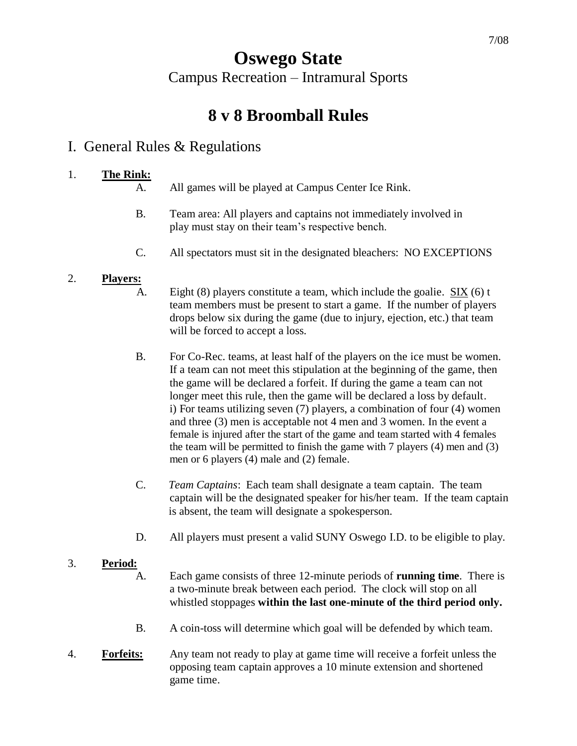# **Oswego State** Campus Recreation – Intramural Sports

# **8 v 8 Broomball Rules**

# I. General Rules & Regulations

## 1. **The Rink:**

A. All games will be played at Campus Center Ice Rink.

- B. Team area: All players and captains not immediately involved in play must stay on their team's respective bench.
- C. All spectators must sit in the designated bleachers: NO EXCEPTIONS

## 2. **Players:**

- A. Eight  $(8)$  players constitute a team, which include the goalie. SIX  $(6)$  t team members must be present to start a game. If the number of players drops below six during the game (due to injury, ejection, etc.) that team will be forced to accept a loss.
- B. For Co-Rec. teams, at least half of the players on the ice must be women. If a team can not meet this stipulation at the beginning of the game, then the game will be declared a forfeit. If during the game a team can not longer meet this rule, then the game will be declared a loss by default. i) For teams utilizing seven (7) players, a combination of four (4) women and three (3) men is acceptable not 4 men and 3 women. In the event a female is injured after the start of the game and team started with 4 females the team will be permitted to finish the game with 7 players (4) men and (3) men or 6 players (4) male and (2) female.
- C. *Team Captains*: Each team shall designate a team captain. The team captain will be the designated speaker for his/her team. If the team captain is absent, the team will designate a spokesperson.
- D. All players must present a valid SUNY Oswego I.D. to be eligible to play.

## 3. **Period:**

- A. Each game consists of three 12-minute periods of **running time**. There is a two-minute break between each period. The clock will stop on all whistled stoppages **within the last one-minute of the third period only.**
- B. A coin-toss will determine which goal will be defended by which team.
- 4. **Forfeits:** Any team not ready to play at game time will receive a forfeit unless the opposing team captain approves a 10 minute extension and shortened game time.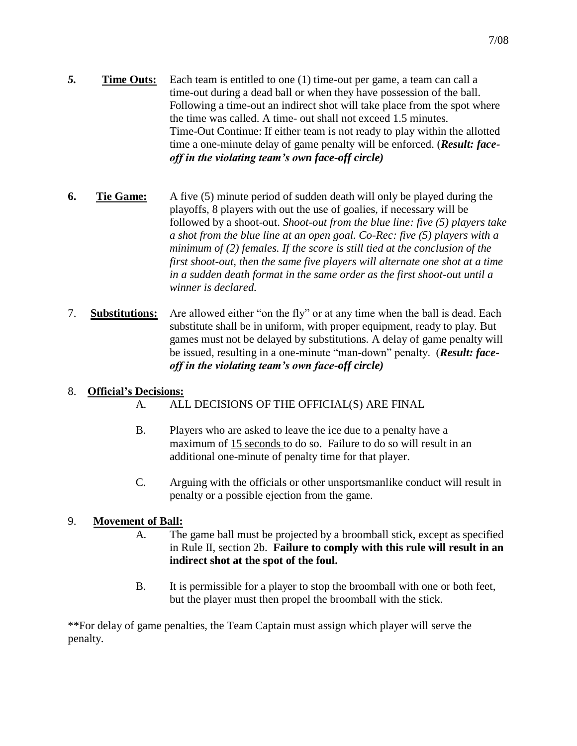- *5.* **Time Outs:** Each team is entitled to one (1) time-out per game, a team can call a time-out during a dead ball or when they have possession of the ball. Following a time-out an indirect shot will take place from the spot where the time was called. A time- out shall not exceed 1.5 minutes. Time-Out Continue: If either team is not ready to play within the allotted time a one-minute delay of game penalty will be enforced. (*Result: faceoff in the violating team's own face-off circle)*
- **6. Tie Game:** A five (5) minute period of sudden death will only be played during the playoffs, 8 players with out the use of goalies, if necessary will be followed by a shoot-out. *Shoot-out from the blue line: five (5) players take a shot from the blue line at an open goal. Co-Rec: five (5) players with a minimum of (2) females. If the score is still tied at the conclusion of the first shoot-out, then the same five players will alternate one shot at a time in a sudden death format in the same order as the first shoot-out until a winner is declared.*
- 7. **Substitutions:** Are allowed either "on the fly" or at any time when the ball is dead. Each substitute shall be in uniform, with proper equipment, ready to play. But games must not be delayed by substitutions. A delay of game penalty will be issued, resulting in a one-minute "man-down" penalty. (*Result: faceoff in the violating team's own face-off circle)*

#### 8. **Official's Decisions:**

- A. ALL DECISIONS OF THE OFFICIAL(S) ARE FINAL
- B. Players who are asked to leave the ice due to a penalty have a maximum of 15 seconds to do so. Failure to do so will result in an additional one-minute of penalty time for that player.
- C. Arguing with the officials or other unsportsmanlike conduct will result in penalty or a possible ejection from the game.

#### 9. **Movement of Ball:**

- A. The game ball must be projected by a broomball stick, except as specified in Rule II, section 2b. **Failure to comply with this rule will result in an indirect shot at the spot of the foul.**
- B. It is permissible for a player to stop the broomball with one or both feet, but the player must then propel the broomball with the stick.

\*\*For delay of game penalties, the Team Captain must assign which player will serve the penalty.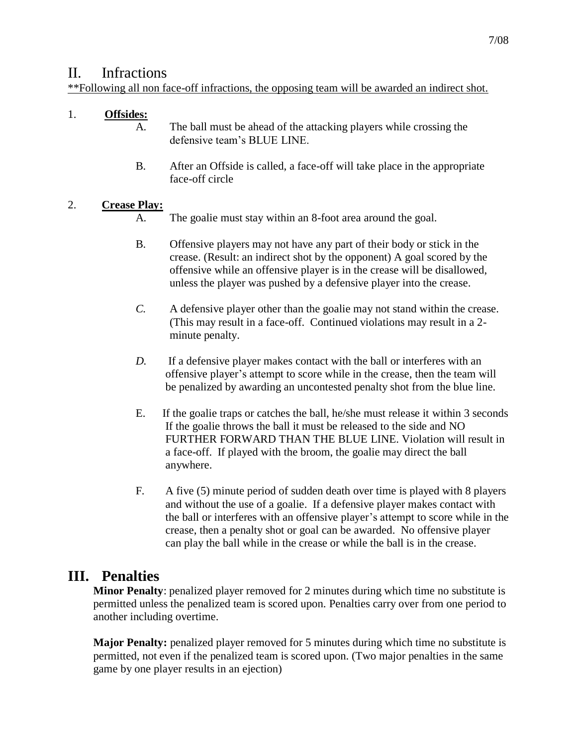## II. Infractions

\*\*Following all non face-off infractions, the opposing team will be awarded an indirect shot.

## 1. **Offsides:**

- A. The ball must be ahead of the attacking players while crossing the defensive team's BLUE LINE.
- B. After an Offside is called, a face-off will take place in the appropriate face-off circle

### 2. **Crease Play:**

- A. The goalie must stay within an 8-foot area around the goal.
- B. Offensive players may not have any part of their body or stick in the crease. (Result: an indirect shot by the opponent) A goal scored by the offensive while an offensive player is in the crease will be disallowed, unless the player was pushed by a defensive player into the crease.
- *C.* A defensive player other than the goalie may not stand within the crease. (This may result in a face-off. Continued violations may result in a 2 minute penalty.
- *D.* If a defensive player makes contact with the ball or interferes with an offensive player's attempt to score while in the crease, then the team will be penalized by awarding an uncontested penalty shot from the blue line.
- E. If the goalie traps or catches the ball, he/she must release it within 3 seconds If the goalie throws the ball it must be released to the side and NO FURTHER FORWARD THAN THE BLUE LINE. Violation will result in a face-off. If played with the broom, the goalie may direct the ball anywhere.
- F. A five (5) minute period of sudden death over time is played with 8 players and without the use of a goalie. If a defensive player makes contact with the ball or interferes with an offensive player's attempt to score while in the crease, then a penalty shot or goal can be awarded. No offensive player can play the ball while in the crease or while the ball is in the crease.

# **III. Penalties**

**Minor Penalty**: penalized player removed for 2 minutes during which time no substitute is permitted unless the penalized team is scored upon. Penalties carry over from one period to another including overtime.

**Major Penalty:** penalized player removed for 5 minutes during which time no substitute is permitted, not even if the penalized team is scored upon. (Two major penalties in the same game by one player results in an ejection)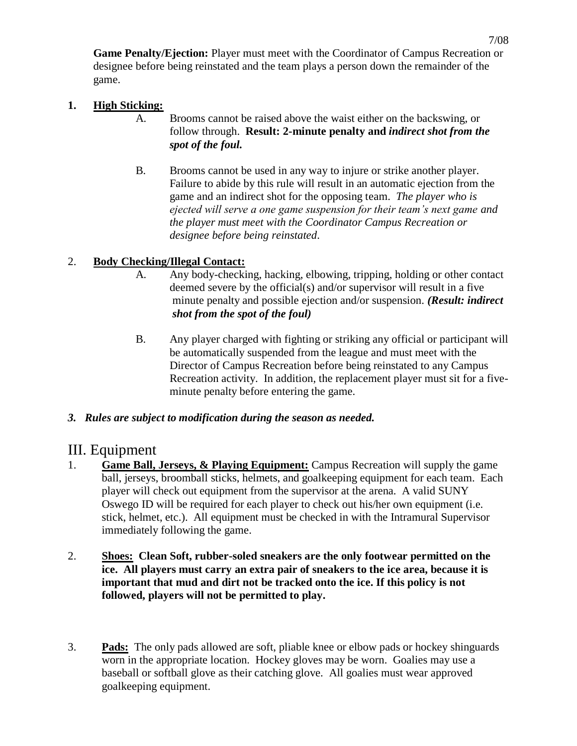**Game Penalty/Ejection:** Player must meet with the Coordinator of Campus Recreation or designee before being reinstated and the team plays a person down the remainder of the game.

#### **1. High Sticking:**

- A. Brooms cannot be raised above the waist either on the backswing, or follow through. **Result: 2-minute penalty and** *indirect shot from the spot of the foul.*
- B. Brooms cannot be used in any way to injure or strike another player. Failure to abide by this rule will result in an automatic ejection from the game and an indirect shot for the opposing team. *The player who is ejected will serve a one game suspension for their team's next game and the player must meet with the Coordinator Campus Recreation or designee before being reinstated*.

### 2. **Body Checking/Illegal Contact:**

- A. Any body-checking, hacking, elbowing, tripping, holding or other contact deemed severe by the official(s) and/or supervisor will result in a five minute penalty and possible ejection and/or suspension. *(Result: indirect shot from the spot of the foul)*
- B. Any player charged with fighting or striking any official or participant will be automatically suspended from the league and must meet with the Director of Campus Recreation before being reinstated to any Campus Recreation activity. In addition, the replacement player must sit for a fiveminute penalty before entering the game.

#### *3. Rules are subject to modification during the season as needed.*

## III. Equipment

- 1. **Game Ball, Jerseys, & Playing Equipment:** Campus Recreation will supply the game ball, jerseys, broomball sticks, helmets, and goalkeeping equipment for each team. Each player will check out equipment from the supervisor at the arena. A valid SUNY Oswego ID will be required for each player to check out his/her own equipment (i.e. stick, helmet, etc.). All equipment must be checked in with the Intramural Supervisor immediately following the game.
- 2. **Shoes: Clean Soft, rubber-soled sneakers are the only footwear permitted on the ice. All players must carry an extra pair of sneakers to the ice area, because it is important that mud and dirt not be tracked onto the ice. If this policy is not followed, players will not be permitted to play.**
- 3. **Pads:** The only pads allowed are soft, pliable knee or elbow pads or hockey shinguards worn in the appropriate location. Hockey gloves may be worn. Goalies may use a baseball or softball glove as their catching glove. All goalies must wear approved goalkeeping equipment.